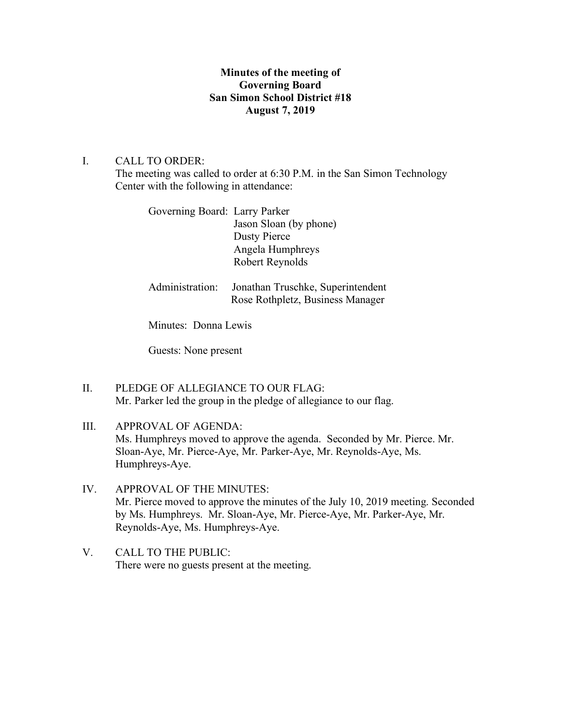## **Minutes of the meeting of Governing Board San Simon School District #18 August 7, 2019**

## I. CALL TO ORDER:

The meeting was called to order at 6:30 P.M. in the San Simon Technology Center with the following in attendance:

| Governing Board: Larry Parker |                                   |
|-------------------------------|-----------------------------------|
|                               | Jason Sloan (by phone)            |
|                               | Dusty Pierce                      |
|                               | Angela Humphreys                  |
|                               | Robert Reynolds                   |
|                               |                                   |
| Administration:               | Jonathan Truschke, Superintendent |
|                               | Rose Rothpletz, Business Manager  |

Minutes: Donna Lewis

Guests: None present

- II. PLEDGE OF ALLEGIANCE TO OUR FLAG: Mr. Parker led the group in the pledge of allegiance to our flag.
- III. APPROVAL OF AGENDA: Ms. Humphreys moved to approve the agenda. Seconded by Mr. Pierce. Mr. Sloan-Aye, Mr. Pierce-Aye, Mr. Parker-Aye, Mr. Reynolds-Aye, Ms. Humphreys-Aye.
- IV. APPROVAL OF THE MINUTES: Mr. Pierce moved to approve the minutes of the July 10, 2019 meeting. Seconded by Ms. Humphreys. Mr. Sloan-Aye, Mr. Pierce-Aye, Mr. Parker-Aye, Mr. Reynolds-Aye, Ms. Humphreys-Aye.
- V. CALL TO THE PUBLIC: There were no guests present at the meeting.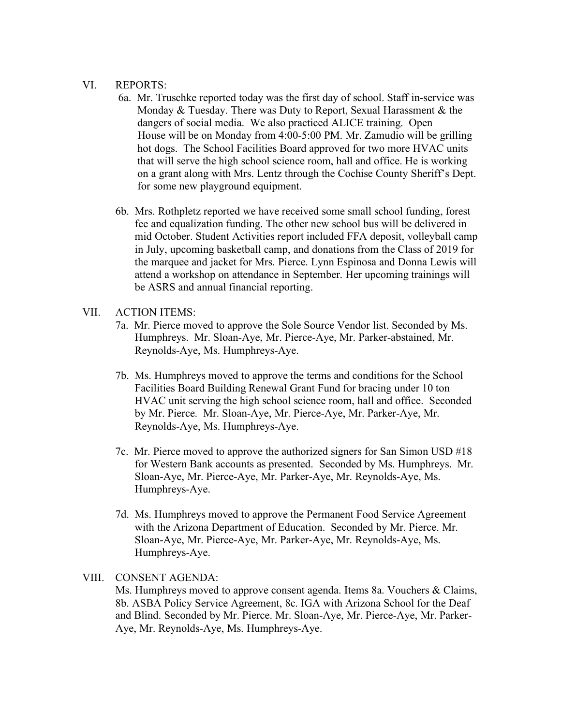#### VI. REPORTS:

- 6a. Mr. Truschke reported today was the first day of school. Staff in-service was Monday & Tuesday. There was Duty to Report, Sexual Harassment & the dangers of social media. We also practiced ALICE training. Open House will be on Monday from 4:00-5:00 PM. Mr. Zamudio will be grilling hot dogs. The School Facilities Board approved for two more HVAC units that will serve the high school science room, hall and office. He is working on a grant along with Mrs. Lentz through the Cochise County Sheriff's Dept. for some new playground equipment.
- 6b. Mrs. Rothpletz reported we have received some small school funding, forest fee and equalization funding. The other new school bus will be delivered in mid October. Student Activities report included FFA deposit, volleyball camp in July, upcoming basketball camp, and donations from the Class of 2019 for the marquee and jacket for Mrs. Pierce. Lynn Espinosa and Donna Lewis will attend a workshop on attendance in September. Her upcoming trainings will be ASRS and annual financial reporting.

### VII. ACTION ITEMS:

- 7a. Mr. Pierce moved to approve the Sole Source Vendor list. Seconded by Ms. Humphreys. Mr. Sloan-Aye, Mr. Pierce-Aye, Mr. Parker-abstained, Mr. Reynolds-Aye, Ms. Humphreys-Aye.
- 7b. Ms. Humphreys moved to approve the terms and conditions for the School Facilities Board Building Renewal Grant Fund for bracing under 10 ton HVAC unit serving the high school science room, hall and office. Seconded by Mr. Pierce. Mr. Sloan-Aye, Mr. Pierce-Aye, Mr. Parker-Aye, Mr. Reynolds-Aye, Ms. Humphreys-Aye.
- 7c. Mr. Pierce moved to approve the authorized signers for San Simon USD #18 for Western Bank accounts as presented. Seconded by Ms. Humphreys. Mr. Sloan-Aye, Mr. Pierce-Aye, Mr. Parker-Aye, Mr. Reynolds-Aye, Ms. Humphreys-Aye.
- 7d. Ms. Humphreys moved to approve the Permanent Food Service Agreement with the Arizona Department of Education. Seconded by Mr. Pierce. Mr. Sloan-Aye, Mr. Pierce-Aye, Mr. Parker-Aye, Mr. Reynolds-Aye, Ms. Humphreys-Aye.

### VIII. CONSENT AGENDA:

Ms. Humphreys moved to approve consent agenda. Items 8a. Vouchers & Claims, 8b. ASBA Policy Service Agreement, 8c. IGA with Arizona School for the Deaf and Blind. Seconded by Mr. Pierce. Mr. Sloan-Aye, Mr. Pierce-Aye, Mr. Parker-Aye, Mr. Reynolds-Aye, Ms. Humphreys-Aye.